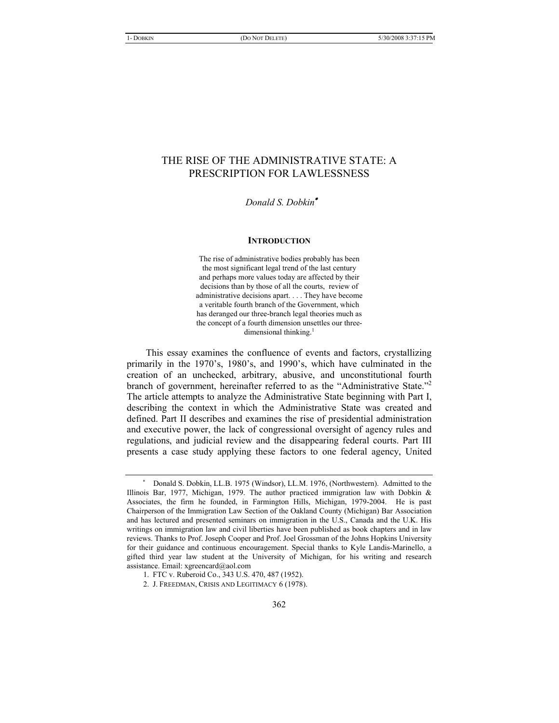# THE RISE OF THE ADMINISTRATIVE STATE: A PRESCRIPTION FOR LAWLESSNESS

 *Donald S. Dobkin*

#### **INTRODUCTION**

The rise of administrative bodies probably has been the most significant legal trend of the last century and perhaps more values today are affected by their decisions than by those of all the courts, review of administrative decisions apart. . . . They have become a veritable fourth branch of the Government, which has deranged our three-branch legal theories much as the concept of a fourth dimension unsettles our threedimensional thinking.<sup>1</sup>

This essay examines the confluence of events and factors, crystallizing primarily in the 1970's, 1980's, and 1990's, which have culminated in the creation of an unchecked, arbitrary, abusive, and unconstitutional fourth branch of government, hereinafter referred to as the "Administrative State."<sup>2</sup> The article attempts to analyze the Administrative State beginning with Part I, describing the context in which the Administrative State was created and defined. Part II describes and examines the rise of presidential administration and executive power, the lack of congressional oversight of agency rules and regulations, and judicial review and the disappearing federal courts. Part III presents a case study applying these factors to one federal agency, United

Donald S. Dobkin, LL.B. 1975 (Windsor), LL.M. 1976, (Northwestern). Admitted to the Illinois Bar, 1977, Michigan, 1979. The author practiced immigration law with Dobkin & Associates, the firm he founded, in Farmington Hills, Michigan, 1979-2004. He is past Chairperson of the Immigration Law Section of the Oakland County (Michigan) Bar Association and has lectured and presented seminars on immigration in the U.S., Canada and the U.K. His writings on immigration law and civil liberties have been published as book chapters and in law reviews. Thanks to Prof. Joseph Cooper and Prof. Joel Grossman of the Johns Hopkins University for their guidance and continuous encouragement. Special thanks to Kyle Landis-Marinello, a gifted third year law student at the University of Michigan, for his writing and research assistance. Email: xgreencard@aol.com

<sup>1.</sup> FTC v. Ruberoid Co., 343 U.S. 470, 487 (1952).

<sup>2.</sup> J. FREEDMAN, CRISIS AND LEGITIMACY 6 (1978).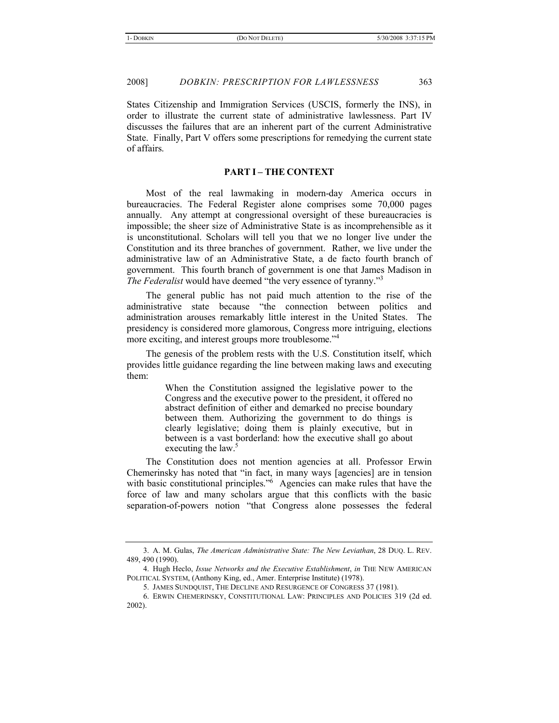States Citizenship and Immigration Services (USCIS, formerly the INS), in order to illustrate the current state of administrative lawlessness. Part IV discusses the failures that are an inherent part of the current Administrative State. Finally, Part V offers some prescriptions for remedying the current state of affairs.

# **PART I – THE CONTEXT**

Most of the real lawmaking in modern-day America occurs in bureaucracies. The Federal Register alone comprises some 70,000 pages annually. Any attempt at congressional oversight of these bureaucracies is impossible; the sheer size of Administrative State is as incomprehensible as it is unconstitutional. Scholars will tell you that we no longer live under the Constitution and its three branches of government. Rather, we live under the administrative law of an Administrative State, a de facto fourth branch of government. This fourth branch of government is one that James Madison in *The Federalist* would have deemed "the very essence of tyranny."3

The general public has not paid much attention to the rise of the administrative state because "the connection between politics and administration arouses remarkably little interest in the United States. The presidency is considered more glamorous, Congress more intriguing, elections more exciting, and interest groups more troublesome."<sup>4</sup>

The genesis of the problem rests with the U.S. Constitution itself, which provides little guidance regarding the line between making laws and executing them:

> When the Constitution assigned the legislative power to the Congress and the executive power to the president, it offered no abstract definition of either and demarked no precise boundary between them. Authorizing the government to do things is clearly legislative; doing them is plainly executive, but in between is a vast borderland: how the executive shall go about executing the law.<sup>5</sup>

The Constitution does not mention agencies at all. Professor Erwin Chemerinsky has noted that "in fact, in many ways [agencies] are in tension with basic constitutional principles."<sup>6</sup> Agencies can make rules that have the force of law and many scholars argue that this conflicts with the basic separation-of-powers notion "that Congress alone possesses the federal

<sup>3.</sup> A. M. Gulas, *The American Administrative State: The New Leviathan*, 28 DUQ. L. REV. 489, 490 (1990).

<sup>4.</sup> Hugh Heclo, *Issue Networks and the Executive Establishment*, *in* THE NEW AMERICAN POLITICAL SYSTEM, (Anthony King, ed., Amer. Enterprise Institute) (1978).

<sup>5.</sup> JAMES SUNDQUIST, THE DECLINE AND RESURGENCE OF CONGRESS 37 (1981).

<sup>6.</sup> ERWIN CHEMERINSKY, CONSTITUTIONAL LAW: PRINCIPLES AND POLICIES 319 (2d ed. 2002).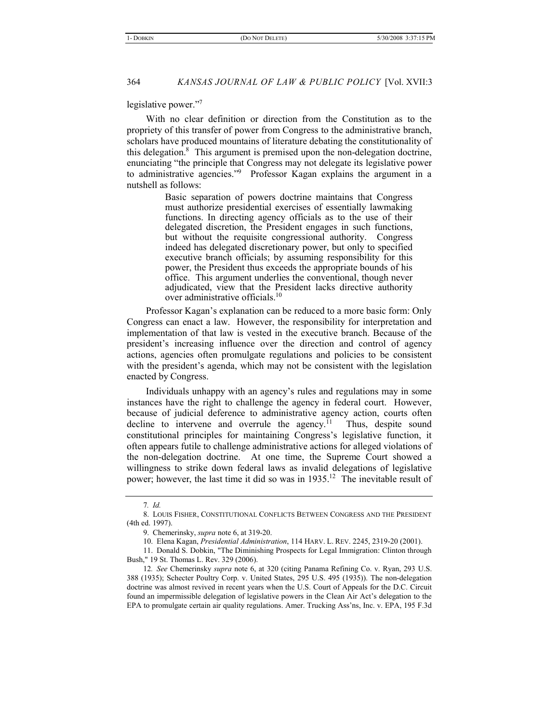legislative power."7

With no clear definition or direction from the Constitution as to the propriety of this transfer of power from Congress to the administrative branch, scholars have produced mountains of literature debating the constitutionality of this delegation. $8$  This argument is premised upon the non-delegation doctrine, enunciating "the principle that Congress may not delegate its legislative power to administrative agencies."9 Professor Kagan explains the argument in a nutshell as follows:

> Basic separation of powers doctrine maintains that Congress must authorize presidential exercises of essentially lawmaking functions. In directing agency officials as to the use of their delegated discretion, the President engages in such functions, but without the requisite congressional authority. Congress indeed has delegated discretionary power, but only to specified executive branch officials; by assuming responsibility for this power, the President thus exceeds the appropriate bounds of his office. This argument underlies the conventional, though never adjudicated, view that the President lacks directive authority over administrative officials.10

Professor Kagan's explanation can be reduced to a more basic form: Only Congress can enact a law. However, the responsibility for interpretation and implementation of that law is vested in the executive branch. Because of the president's increasing influence over the direction and control of agency actions, agencies often promulgate regulations and policies to be consistent with the president's agenda, which may not be consistent with the legislation enacted by Congress.

Individuals unhappy with an agency's rules and regulations may in some instances have the right to challenge the agency in federal court. However, because of judicial deference to administrative agency action, courts often decline to intervene and overrule the agency.<sup>11</sup> Thus, despite sound constitutional principles for maintaining Congress's legislative function, it often appears futile to challenge administrative actions for alleged violations of the non-delegation doctrine. At one time, the Supreme Court showed a willingness to strike down federal laws as invalid delegations of legislative power; however, the last time it did so was in 1935.12 The inevitable result of

<sup>7</sup>*. Id.*

<sup>8.</sup> LOUIS FISHER, CONSTITUTIONAL CONFLICTS BETWEEN CONGRESS AND THE PRESIDENT (4th ed. 1997).

<sup>9.</sup> Chemerinsky, *supra* note 6, at 319-20.

<sup>10.</sup> Elena Kagan, *Presidential Administration*, 114 HARV. L. REV. 2245, 2319-20 (2001).

<sup>11.</sup> Donald S. Dobkin, "The Diminishing Prospects for Legal Immigration: Clinton through Bush," 19 St. Thomas L. Rev. 329 (2006).

<sup>12</sup>*. See* Chemerinsky *supra* note 6, at 320 (citing Panama Refining Co. v. Ryan, 293 U.S. 388 (1935); Schecter Poultry Corp. v. United States, 295 U.S. 495 (1935)). The non-delegation doctrine was almost revived in recent years when the U.S. Court of Appeals for the D.C. Circuit found an impermissible delegation of legislative powers in the Clean Air Act's delegation to the EPA to promulgate certain air quality regulations. Amer. Trucking Ass'ns, Inc. v. EPA, 195 F.3d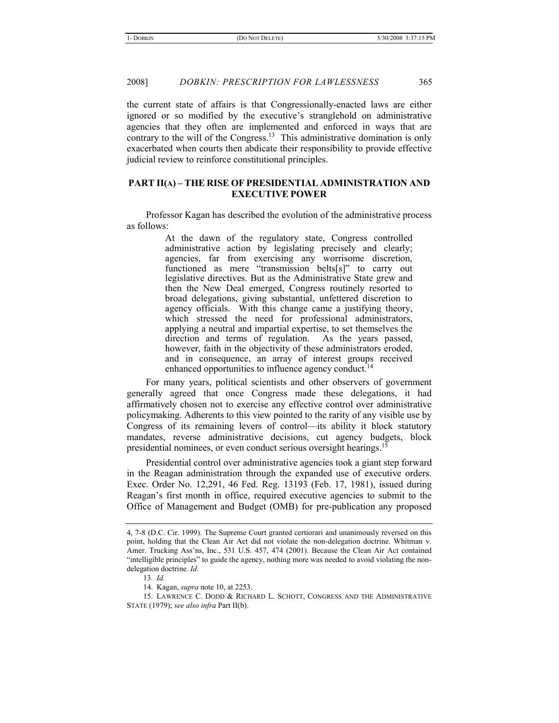the current state of affairs is that Congressionally-enacted laws are either ignored or so modified by the executive's stranglehold on administrative agencies that they often are implemented and enforced in ways that are contrary to the will of the Congress.<sup>13</sup> This administrative domination is only exacerbated when courts then abdicate their responsibility to provide effective judicial review to reinforce constitutional principles.

# **PART II(A) – THE RISE OF PRESIDENTIAL ADMINISTRATION AND EXECUTIVE POWER**

Professor Kagan has described the evolution of the administrative process as follows:

> At the dawn of the regulatory state, Congress controlled administrative action by legislating precisely and clearly; agencies, far from exercising any worrisome discretion, functioned as mere "transmission belts[s]" to carry out legislative directives. But as the Administrative State grew and then the New Deal emerged, Congress routinely resorted to broad delegations, giving substantial, unfettered discretion to agency officials. With this change came a justifying theory, which stressed the need for professional administrators, applying a neutral and impartial expertise, to set themselves the direction and terms of regulation. As the years passed, however, faith in the objectivity of these administrators eroded, and in consequence, an array of interest groups received enhanced opportunities to influence agency conduct.<sup>14</sup>

For many years, political scientists and other observers of government generally agreed that once Congress made these delegations, it had affirmatively chosen not to exercise any effective control over administrative policymaking. Adherents to this view pointed to the rarity of any visible use by Congress of its remaining levers of control—its ability it block statutory mandates, reverse administrative decisions, cut agency budgets, block presidential nominees, or even conduct serious oversight hearings.15

Presidential control over administrative agencies took a giant step forward in the Reagan administration through the expanded use of executive orders. Exec. Order No. 12,291, 46 Fed. Reg. 13193 (Feb. 17, 1981), issued during Reagan's first month in office, required executive agencies to submit to the Office of Management and Budget (OMB) for pre-publication any proposed

<sup>4, 7-8 (</sup>D.C. Cir. 1999). The Supreme Court granted certiorari and unanimously reversed on this point, holding that the Clean Air Act did not violate the non-delegation doctrine. Whitman v. Amer. Trucking Ass'ns, Inc., 531 U.S. 457, 474 (2001). Because the Clean Air Act contained "intelligible principles" to guide the agency, nothing more was needed to avoid violating the nondelegation doctrine. *Id.*

<sup>13</sup>*. Id.*

<sup>14.</sup> Kagan, *supra* note 10, at 2253.

<sup>15.</sup> LAWRENCE C. DODD & RICHARD L. SCHOTT, CONGRESS AND THE ADMINISTRATIVE STATE (1979); *see also infra* Part II(b).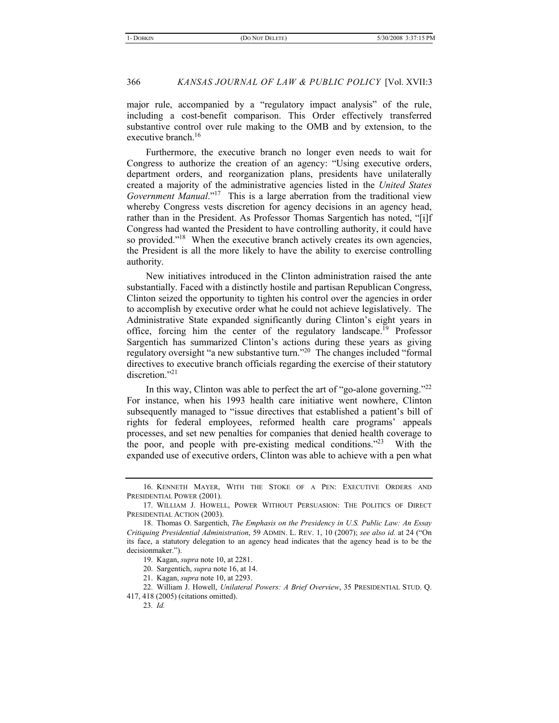major rule, accompanied by a "regulatory impact analysis" of the rule, including a cost-benefit comparison. This Order effectively transferred substantive control over rule making to the OMB and by extension, to the executive branch.<sup>16</sup>

Furthermore, the executive branch no longer even needs to wait for Congress to authorize the creation of an agency: "Using executive orders, department orders, and reorganization plans, presidents have unilaterally created a majority of the administrative agencies listed in the *United States Government Manual*."17 This is a large aberration from the traditional view whereby Congress vests discretion for agency decisions in an agency head, rather than in the President. As Professor Thomas Sargentich has noted, "[i]f Congress had wanted the President to have controlling authority, it could have so provided."<sup>18</sup> When the executive branch actively creates its own agencies, the President is all the more likely to have the ability to exercise controlling authority.

New initiatives introduced in the Clinton administration raised the ante substantially. Faced with a distinctly hostile and partisan Republican Congress, Clinton seized the opportunity to tighten his control over the agencies in order to accomplish by executive order what he could not achieve legislatively. The Administrative State expanded significantly during Clinton's eight years in office, forcing him the center of the regulatory landscape.19 Professor Sargentich has summarized Clinton's actions during these years as giving regulatory oversight "a new substantive turn."20 The changes included "formal directives to executive branch officials regarding the exercise of their statutory discretion."21

In this way, Clinton was able to perfect the art of "go-alone governing."22 For instance, when his 1993 health care initiative went nowhere, Clinton subsequently managed to "issue directives that established a patient's bill of rights for federal employees, reformed health care programs' appeals processes, and set new penalties for companies that denied health coverage to the poor, and people with pre-existing medical conditions."23 With the expanded use of executive orders, Clinton was able to achieve with a pen what

22. William J. Howell, *Unilateral Powers: A Brief Overview*, 35 PRESIDENTIAL STUD. Q. 417, 418 (2005) (citations omitted).

<sup>16.</sup> KENNETH MAYER, WITH THE STOKE OF A PEN: EXECUTIVE ORDERS AND PRESIDENTIAL POWER (2001).

<sup>17.</sup> WILLIAM J. HOWELL, POWER WITHOUT PERSUASION: THE POLITICS OF DIRECT PRESIDENTIAL ACTION (2003).

<sup>18.</sup> Thomas O. Sargentich, *The Emphasis on the Presidency in U.S. Public Law: An Essay Critiquing Presidential Administration*, 59 ADMIN. L. REV. 1, 10 (2007); *see also id.* at 24 ("On its face, a statutory delegation to an agency head indicates that the agency head is to be the decisionmaker.").

<sup>19.</sup> Kagan, *supra* note 10, at 2281.

<sup>20.</sup> Sargentich, *supra* note 16, at 14.

<sup>21.</sup> Kagan, *supra* note 10, at 2293.

<sup>23</sup>*. Id.*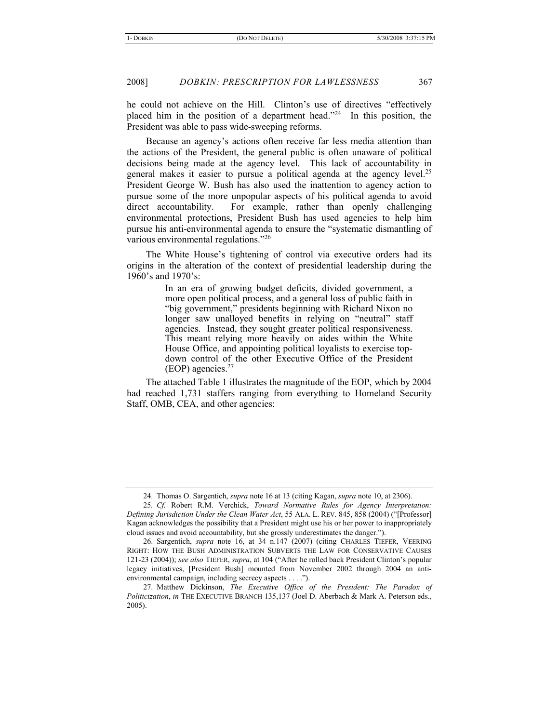he could not achieve on the Hill. Clinton's use of directives "effectively placed him in the position of a department head."<sup>24</sup> In this position, the President was able to pass wide-sweeping reforms.

Because an agency's actions often receive far less media attention than the actions of the President, the general public is often unaware of political decisions being made at the agency level. This lack of accountability in general makes it easier to pursue a political agenda at the agency level.<sup>25</sup> President George W. Bush has also used the inattention to agency action to pursue some of the more unpopular aspects of his political agenda to avoid direct accountability. For example, rather than openly challenging environmental protections, President Bush has used agencies to help him pursue his anti-environmental agenda to ensure the "systematic dismantling of various environmental regulations."26

The White House's tightening of control via executive orders had its origins in the alteration of the context of presidential leadership during the 1960's and 1970's:

> In an era of growing budget deficits, divided government, a more open political process, and a general loss of public faith in "big government," presidents beginning with Richard Nixon no longer saw unalloyed benefits in relying on "neutral" staff agencies. Instead, they sought greater political responsiveness. This meant relying more heavily on aides within the White House Office, and appointing political loyalists to exercise topdown control of the other Executive Office of the President (EOP) agencies.27

The attached Table 1 illustrates the magnitude of the EOP, which by 2004 had reached 1,731 staffers ranging from everything to Homeland Security Staff, OMB, CEA, and other agencies:

<sup>24.</sup> Thomas O. Sargentich, *supra* note 16 at 13 (citing Kagan, *supra* note 10, at 2306).

<sup>25</sup>*. Cf.* Robert R.M. Verchick, *Toward Normative Rules for Agency Interpretation: Defining Jurisdiction Under the Clean Water Act*, 55 ALA. L. REV. 845, 858 (2004) ("[Professor] Kagan acknowledges the possibility that a President might use his or her power to inappropriately cloud issues and avoid accountability, but she grossly underestimates the danger.").

<sup>26.</sup> Sargentich, *supra* note 16, at 34 n.147 (2007) (citing CHARLES TIEFER, VEERING RIGHT: HOW THE BUSH ADMINISTRATION SUBVERTS THE LAW FOR CONSERVATIVE CAUSES 121-23 (2004)); *see also* TIEFER, *supra*, at 104 ("After he rolled back President Clinton's popular legacy initiatives, [President Bush] mounted from November 2002 through 2004 an antienvironmental campaign, including secrecy aspects . . . .").

<sup>27.</sup> Matthew Dickinson, *The Executive Office of the President: The Paradox of Politicization*, *in* THE EXECUTIVE BRANCH 135,137 (Joel D. Aberbach & Mark A. Peterson eds., 2005).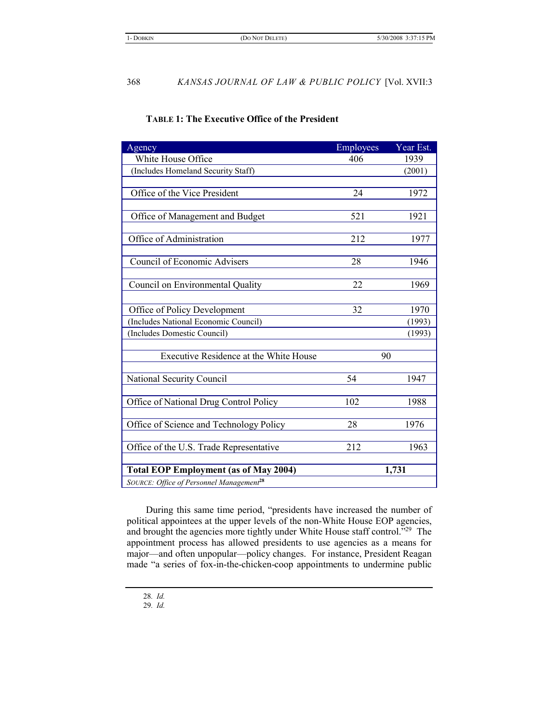# **TABLE 1: The Executive Office of the President**

| Agency                                               | <b>Employees</b> | Year Est. |
|------------------------------------------------------|------------------|-----------|
| White House Office                                   | 406              | 1939      |
| (Includes Homeland Security Staff)                   |                  | (2001)    |
|                                                      |                  |           |
| Office of the Vice President                         | 24               | 1972      |
|                                                      |                  |           |
| Office of Management and Budget                      | 521              | 1921      |
|                                                      |                  |           |
| Office of Administration                             | 212              | 1977      |
|                                                      |                  |           |
| Council of Economic Advisers                         | 28               | 1946      |
|                                                      |                  |           |
| Council on Environmental Quality                     | 22               | 1969      |
|                                                      |                  |           |
| Office of Policy Development                         | 32               | 1970      |
| (Includes National Economic Council)                 |                  | (1993)    |
| (Includes Domestic Council)                          |                  | (1993)    |
|                                                      |                  |           |
| Executive Residence at the White House               | 90               |           |
|                                                      |                  |           |
| National Security Council                            | 54               | 1947      |
|                                                      |                  |           |
| Office of National Drug Control Policy               | 102              | 1988      |
|                                                      |                  |           |
| Office of Science and Technology Policy              | 28               | 1976      |
|                                                      |                  |           |
| Office of the U.S. Trade Representative              | 212              | 1963      |
|                                                      |                  |           |
| <b>Total EOP Employment (as of May 2004)</b>         | 1,731            |           |
| SOURCE: Office of Personnel Management <sup>28</sup> |                  |           |

During this same time period, "presidents have increased the number of political appointees at the upper levels of the non-White House EOP agencies, and brought the agencies more tightly under White House staff control."<sup>29</sup> The appointment process has allowed presidents to use agencies as a means for major—and often unpopular—policy changes. For instance, President Reagan made "a series of fox-in-the-chicken-coop appointments to undermine public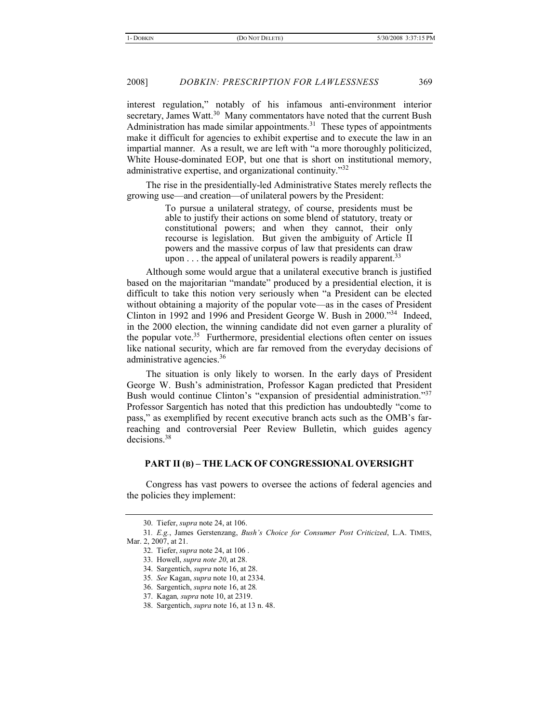interest regulation," notably of his infamous anti-environment interior secretary, James Watt.<sup>30</sup> Many commentators have noted that the current Bush Administration has made similar appointments. $31$  These types of appointments make it difficult for agencies to exhibit expertise and to execute the law in an impartial manner. As a result, we are left with "a more thoroughly politicized, White House-dominated EOP, but one that is short on institutional memory, administrative expertise, and organizational continuity."<sup>32</sup>

The rise in the presidentially-led Administrative States merely reflects the growing use—and creation—of unilateral powers by the President:

> To pursue a unilateral strategy, of course, presidents must be able to justify their actions on some blend of statutory, treaty or constitutional powers; and when they cannot, their only recourse is legislation. But given the ambiguity of Article II powers and the massive corpus of law that presidents can draw upon  $\dots$  the appeal of unilateral powers is readily apparent.<sup>33</sup>

Although some would argue that a unilateral executive branch is justified based on the majoritarian "mandate" produced by a presidential election, it is difficult to take this notion very seriously when "a President can be elected without obtaining a majority of the popular vote—as in the cases of President Clinton in 1992 and 1996 and President George W. Bush in 2000."34 Indeed, in the 2000 election, the winning candidate did not even garner a plurality of the popular vote.<sup>35</sup> Furthermore, presidential elections often center on issues like national security, which are far removed from the everyday decisions of administrative agencies.<sup>36</sup>

The situation is only likely to worsen. In the early days of President George W. Bush's administration, Professor Kagan predicted that President Bush would continue Clinton's "expansion of presidential administration."<sup>37</sup> Professor Sargentich has noted that this prediction has undoubtedly "come to pass," as exemplified by recent executive branch acts such as the OMB's farreaching and controversial Peer Review Bulletin, which guides agency decisions.38

## **PART II (B) – THE LACK OF CONGRESSIONAL OVERSIGHT**

Congress has vast powers to oversee the actions of federal agencies and the policies they implement:

<sup>30.</sup> Tiefer, *supra* note 24, at 106.

<sup>31</sup>*. E.g.*, James Gerstenzang, *Bush's Choice for Consumer Post Criticized*, L.A. TIMES, Mar. 2, 2007, at 21.

<sup>32.</sup> Tiefer, *supra* note 24, at 106 .

<sup>33.</sup> Howell, *supra note 20*, at 28.

<sup>34.</sup> Sargentich, *supra* note 16, at 28.

<sup>35</sup>*. See* Kagan, *supra* note 10, at 2334.

<sup>36.</sup> Sargentich, *supra* note 16, at 28*.*

<sup>37.</sup> Kagan*, supra* note 10, at 2319.

<sup>38.</sup> Sargentich, *supra* note 16, at 13 n. 48.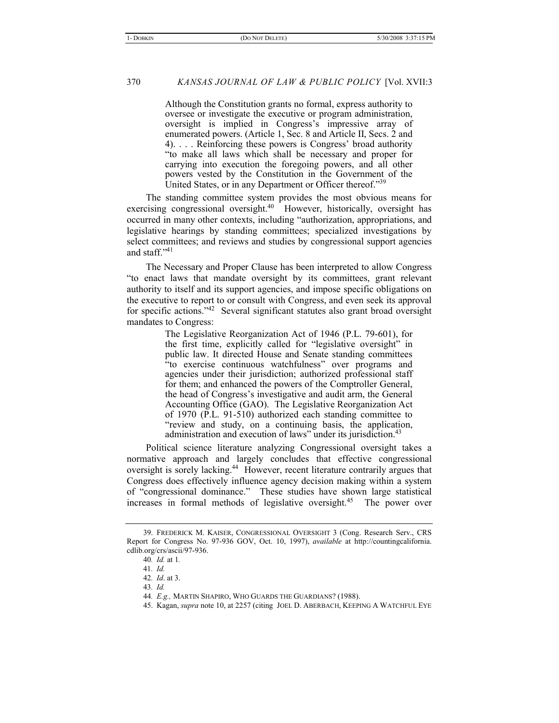Although the Constitution grants no formal, express authority to oversee or investigate the executive or program administration, oversight is implied in Congress's impressive array of enumerated powers. (Article 1, Sec. 8 and Article II, Secs. 2 and 4). . . . Reinforcing these powers is Congress' broad authority "to make all laws which shall be necessary and proper for carrying into execution the foregoing powers, and all other powers vested by the Constitution in the Government of the United States, or in any Department or Officer thereof."39

The standing committee system provides the most obvious means for exercising congressional oversight.<sup>40</sup> However, historically, oversight has occurred in many other contexts, including "authorization, appropriations, and legislative hearings by standing committees; specialized investigations by select committees; and reviews and studies by congressional support agencies and staff."41

The Necessary and Proper Clause has been interpreted to allow Congress "to enact laws that mandate oversight by its committees, grant relevant authority to itself and its support agencies, and impose specific obligations on the executive to report to or consult with Congress, and even seek its approval for specific actions."42 Several significant statutes also grant broad oversight mandates to Congress:

> The Legislative Reorganization Act of 1946 (P.L. 79-601), for the first time, explicitly called for "legislative oversight" in public law. It directed House and Senate standing committees "to exercise continuous watchfulness" over programs and agencies under their jurisdiction; authorized professional staff for them; and enhanced the powers of the Comptroller General, the head of Congress's investigative and audit arm, the General Accounting Office (GAO). The Legislative Reorganization Act of 1970 (P.L. 91-510) authorized each standing committee to "review and study, on a continuing basis, the application, administration and execution of laws" under its jurisdiction.<sup>43</sup>

Political science literature analyzing Congressional oversight takes a normative approach and largely concludes that effective congressional oversight is sorely lacking.44 However, recent literature contrarily argues that Congress does effectively influence agency decision making within a system of "congressional dominance." These studies have shown large statistical increases in formal methods of legislative oversight.<sup>45</sup> The power over

<sup>39.</sup> FREDERICK M. KAISER, CONGRESSIONAL OVERSIGHT 3 (Cong. Research Serv., CRS Report for Congress No. 97-936 GOV, Oct. 10, 1997), *available* at http://countingcalifornia. cdlib.org/crs/ascii/97-936.

<sup>40</sup>*. Id.* at 1*.*

<sup>41</sup>*. Id.*

<sup>42</sup>*. Id*. at 3.

<sup>43</sup>*. Id.*

<sup>44</sup>*. E.g.,* MARTIN SHAPIRO, WHO GUARDS THE GUARDIANS? (1988).

<sup>45.</sup> Kagan, *supra* note 10, at 2257 (citing JOEL D. ABERBACH, KEEPING A WATCHFUL EYE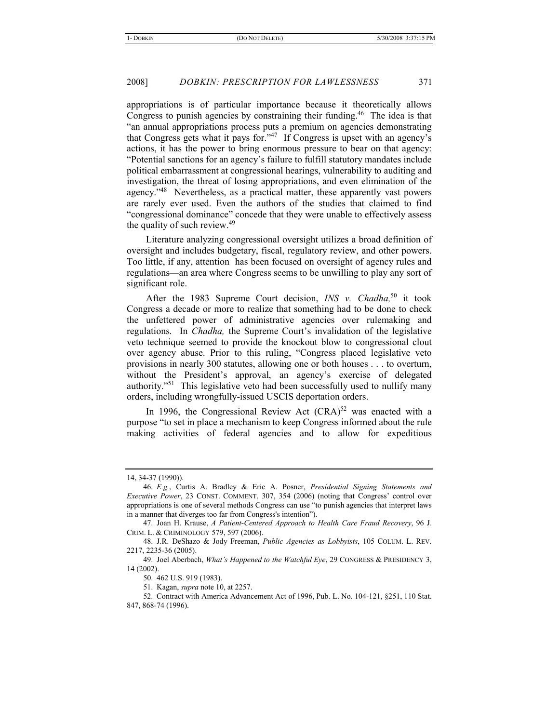appropriations is of particular importance because it theoretically allows Congress to punish agencies by constraining their funding.<sup>46</sup> The idea is that "an annual appropriations process puts a premium on agencies demonstrating that Congress gets what it pays for."47 If Congress is upset with an agency's actions, it has the power to bring enormous pressure to bear on that agency: "Potential sanctions for an agency's failure to fulfill statutory mandates include political embarrassment at congressional hearings, vulnerability to auditing and investigation, the threat of losing appropriations, and even elimination of the agency."48 Nevertheless, as a practical matter, these apparently vast powers are rarely ever used. Even the authors of the studies that claimed to find "congressional dominance" concede that they were unable to effectively assess the quality of such review.<sup>49</sup>

Literature analyzing congressional oversight utilizes a broad definition of oversight and includes budgetary, fiscal, regulatory review, and other powers. Too little, if any, attention has been focused on oversight of agency rules and regulations—an area where Congress seems to be unwilling to play any sort of significant role.

After the 1983 Supreme Court decision, *INS v. Chadha*,<sup>50</sup> it took Congress a decade or more to realize that something had to be done to check the unfettered power of administrative agencies over rulemaking and regulations. In *Chadha,* the Supreme Court's invalidation of the legislative veto technique seemed to provide the knockout blow to congressional clout over agency abuse. Prior to this ruling, "Congress placed legislative veto provisions in nearly 300 statutes, allowing one or both houses . . . to overturn, without the President's approval, an agency's exercise of delegated authority."51 This legislative veto had been successfully used to nullify many orders, including wrongfully-issued USCIS deportation orders.

In 1996, the Congressional Review Act  $(CRA)^{52}$  was enacted with a purpose "to set in place a mechanism to keep Congress informed about the rule making activities of federal agencies and to allow for expeditious

<sup>14, 34-37 (1990)).</sup>

<sup>46</sup>*. E.g.*, Curtis A. Bradley & Eric A. Posner, *Presidential Signing Statements and Executive Power*, 23 CONST. COMMENT. 307, 354 (2006) (noting that Congress' control over appropriations is one of several methods Congress can use "to punish agencies that interpret laws in a manner that diverges too far from Congress's intention").

<sup>47.</sup> Joan H. Krause, *A Patient-Centered Approach to Health Care Fraud Recovery*, 96 J. CRIM. L. & CRIMINOLOGY 579, 597 (2006).

<sup>48.</sup> J.R. DeShazo & Jody Freeman, *Public Agencies as Lobbyists*, 105 COLUM. L. REV. 2217, 2235-36 (2005).

<sup>49.</sup> Joel Aberbach, *What's Happened to the Watchful Eye*, 29 CONGRESS & PRESIDENCY 3, 14 (2002).

<sup>50. 462</sup> U.S. 919 (1983).

<sup>51.</sup> Kagan, *supra* note 10, at 2257.

<sup>52.</sup> Contract with America Advancement Act of 1996, Pub. L. No. 104-121, §251, 110 Stat. 847, 868-74 (1996).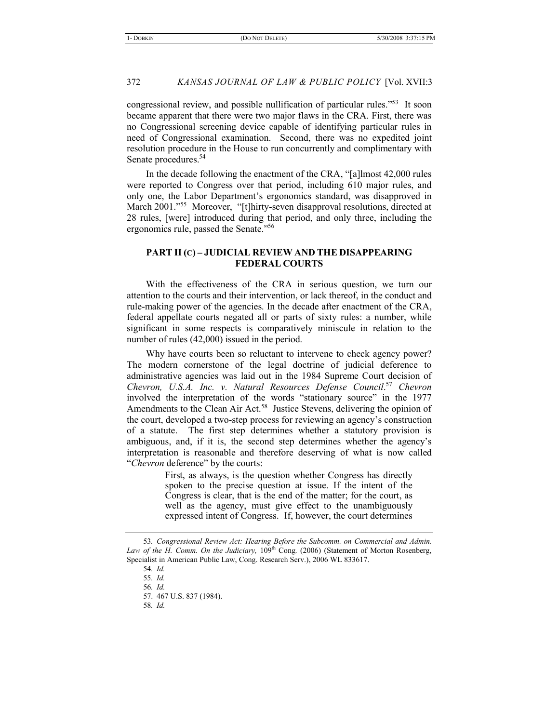congressional review, and possible nullification of particular rules."53 It soon became apparent that there were two major flaws in the CRA. First, there was no Congressional screening device capable of identifying particular rules in need of Congressional examination. Second, there was no expedited joint resolution procedure in the House to run concurrently and complimentary with Senate procedures.<sup>54</sup>

In the decade following the enactment of the CRA, "[a]lmost 42,000 rules were reported to Congress over that period, including 610 major rules, and only one, the Labor Department's ergonomics standard, was disapproved in March 2001."<sup>55</sup> Moreover, "[t]hirty-seven disapproval resolutions, directed at 28 rules, [were] introduced during that period, and only three, including the ergonomics rule, passed the Senate."56

# **PART II (C) – JUDICIAL REVIEW AND THE DISAPPEARING FEDERAL COURTS**

With the effectiveness of the CRA in serious question, we turn our attention to the courts and their intervention, or lack thereof, in the conduct and rule-making power of the agencies. In the decade after enactment of the CRA, federal appellate courts negated all or parts of sixty rules: a number, while significant in some respects is comparatively miniscule in relation to the number of rules (42,000) issued in the period.

Why have courts been so reluctant to intervene to check agency power? The modern cornerstone of the legal doctrine of judicial deference to administrative agencies was laid out in the 1984 Supreme Court decision of *Chevron, U.S.A. Inc. v. Natural Resources Defense Council*. <sup>57</sup> *Chevron* involved the interpretation of the words "stationary source" in the 1977 Amendments to the Clean Air Act.<sup>58</sup> Justice Stevens, delivering the opinion of the court, developed a two-step process for reviewing an agency's construction of a statute. The first step determines whether a statutory provision is ambiguous, and, if it is, the second step determines whether the agency's interpretation is reasonable and therefore deserving of what is now called "*Chevron* deference" by the courts:

> First, as always, is the question whether Congress has directly spoken to the precise question at issue. If the intent of the Congress is clear, that is the end of the matter; for the court, as well as the agency, must give effect to the unambiguously expressed intent of Congress. If, however, the court determines

<sup>53</sup>*. Congressional Review Act: Hearing Before the Subcomm. on Commercial and Admin.*  Law of the H. Comm. On the Judiciary, 109<sup>th</sup> Cong. (2006) (Statement of Morton Rosenberg, Specialist in American Public Law, Cong. Research Serv.), 2006 WL 833617.

<sup>54</sup>*. Id.*

<sup>55</sup>*. Id.*

<sup>56</sup>*. Id.*

<sup>57. 467</sup> U.S. 837 (1984).

<sup>58</sup>*. Id.*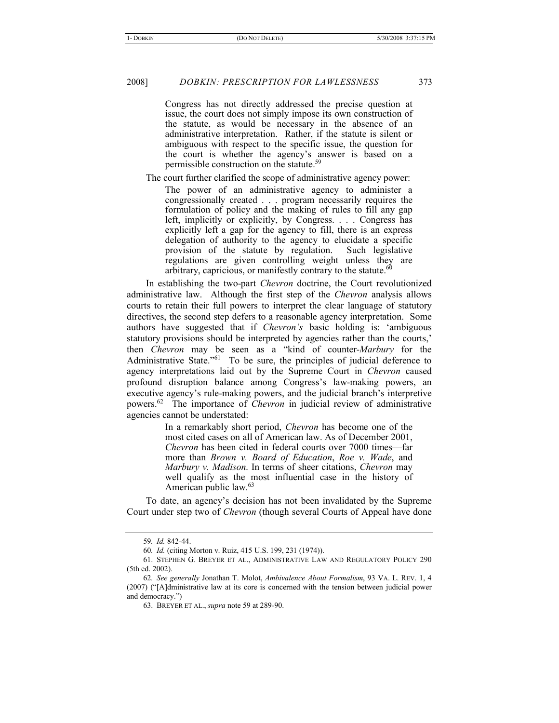Congress has not directly addressed the precise question at issue, the court does not simply impose its own construction of the statute, as would be necessary in the absence of an administrative interpretation. Rather, if the statute is silent or ambiguous with respect to the specific issue, the question for the court is whether the agency's answer is based on a permissible construction on the statute. $59$ 

The court further clarified the scope of administrative agency power:

The power of an administrative agency to administer a congressionally created . . . program necessarily requires the formulation of policy and the making of rules to fill any gap left, implicitly or explicitly, by Congress. . . . Congress has explicitly left a gap for the agency to fill, there is an express delegation of authority to the agency to elucidate a specific provision of the statute by regulation. Such legislative regulations are given controlling weight unless they are arbitrary, capricious, or manifestly contrary to the statute. $60$ 

In establishing the two-part *Chevron* doctrine, the Court revolutionized administrative law. Although the first step of the *Chevron* analysis allows courts to retain their full powers to interpret the clear language of statutory directives, the second step defers to a reasonable agency interpretation. Some authors have suggested that if *Chevron's* basic holding is: 'ambiguous statutory provisions should be interpreted by agencies rather than the courts,' then *Chevron* may be seen as a "kind of counter-*Marbury* for the Administrative State."<sup>61</sup> To be sure, the principles of judicial deference to agency interpretations laid out by the Supreme Court in *Chevron* caused profound disruption balance among Congress's law-making powers, an executive agency's rule-making powers, and the judicial branch's interpretive powers.62 The importance of *Chevron* in judicial review of administrative agencies cannot be understated:

> In a remarkably short period, *Chevron* has become one of the most cited cases on all of American law. As of December 2001, *Chevron* has been cited in federal courts over 7000 times—far more than *Brown v. Board of Education*, *Roe v. Wade*, and *Marbury v. Madison*. In terms of sheer citations, *Chevron* may well qualify as the most influential case in the history of American public law.63

To date, an agency's decision has not been invalidated by the Supreme Court under step two of *Chevron* (though several Courts of Appeal have done

<sup>59</sup>*. Id.* 842-44.

<sup>60</sup>*. Id.* (citing Morton v. Ruiz, 415 U.S. 199, 231 (1974)).

<sup>61.</sup> STEPHEN G. BREYER ET AL., ADMINISTRATIVE LAW AND REGULATORY POLICY 290 (5th ed. 2002).

<sup>62</sup>*. See generally* Jonathan T. Molot, *Ambivalence About Formalism*, 93 VA. L. REV. 1, 4 (2007) ("[A]dministrative law at its core is concerned with the tension between judicial power and democracy.")

<sup>63.</sup> BREYER ET AL., *supra* note 59 at 289-90.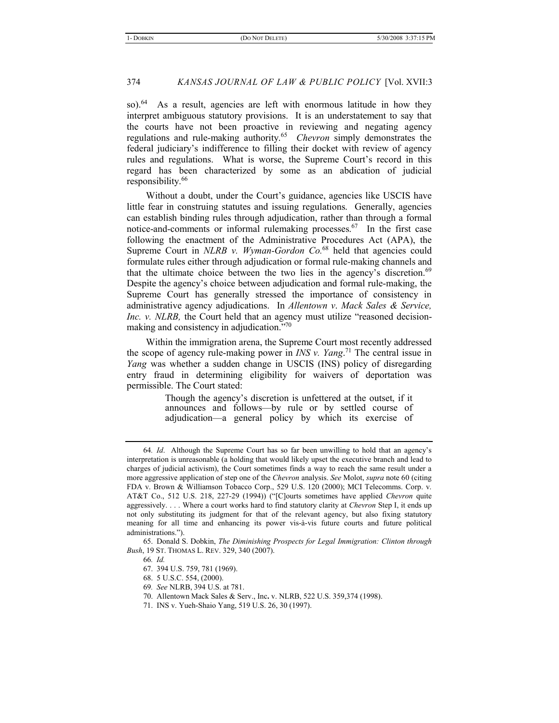so).<sup>64</sup> As a result, agencies are left with enormous latitude in how they interpret ambiguous statutory provisions. It is an understatement to say that the courts have not been proactive in reviewing and negating agency regulations and rule-making authority.65 *Chevron* simply demonstrates the federal judiciary's indifference to filling their docket with review of agency rules and regulations. What is worse, the Supreme Court's record in this regard has been characterized by some as an abdication of judicial responsibility.<sup>66</sup>

Without a doubt, under the Court's guidance, agencies like USCIS have little fear in construing statutes and issuing regulations. Generally, agencies can establish binding rules through adjudication, rather than through a formal notice-and-comments or informal rulemaking processes.<sup>67</sup> In the first case following the enactment of the Administrative Procedures Act (APA), the Supreme Court in *NLRB v. Wyman-Gordon Co.*<sup>68</sup> held that agencies could formulate rules either through adjudication or formal rule-making channels and that the ultimate choice between the two lies in the agency's discretion.<sup>69</sup> Despite the agency's choice between adjudication and formal rule-making, the Supreme Court has generally stressed the importance of consistency in administrative agency adjudications. In *Allentown v*. *Mack Sales & Service, Inc. v. NLRB*, the Court held that an agency must utilize "reasoned decisionmaking and consistency in adjudication."70

Within the immigration arena, the Supreme Court most recently addressed the scope of agency rule-making power in *INS v. Yang*. <sup>71</sup> The central issue in *Yang* was whether a sudden change in USCIS (INS) policy of disregarding entry fraud in determining eligibility for waivers of deportation was permissible. The Court stated:

> Though the agency's discretion is unfettered at the outset, if it announces and follows—by rule or by settled course of adjudication—a general policy by which its exercise of

<sup>64</sup>*. Id*. Although the Supreme Court has so far been unwilling to hold that an agency's interpretation is unreasonable (a holding that would likely upset the executive branch and lead to charges of judicial activism), the Court sometimes finds a way to reach the same result under a more aggressive application of step one of the *Chevron* analysis. *See* Molot, *supra* note 60 (citing FDA v. Brown & Williamson Tobacco Corp., 529 U.S. 120 (2000); MCI Telecomms. Corp. v. AT&T Co., 512 U.S. 218, 227-29 (1994)) ("[C]ourts sometimes have applied *Chevron* quite aggressively. . . . Where a court works hard to find statutory clarity at *Chevron* Step I, it ends up not only substituting its judgment for that of the relevant agency, but also fixing statutory meaning for all time and enhancing its power vis-à-vis future courts and future political administrations.").

<sup>65.</sup> Donald S. Dobkin, *The Diminishing Prospects for Legal Immigration: Clinton through Bush*, 19 ST. THOMAS L. REV. 329, 340 (2007).

<sup>66</sup>*. Id.*

<sup>67. 394</sup> U.S. 759, 781 (1969).

<sup>68. 5</sup> U.S.C. 554, (2000).

<sup>69</sup>*. See* NLRB, 394 U.S. at 781.

<sup>70.</sup> Allentown Mack Sales & Serv., Inc**.** v. NLRB, 522 U.S. 359,374 (1998).

<sup>71.</sup> INS v. Yueh-Shaio Yang, 519 U.S. 26, 30 (1997).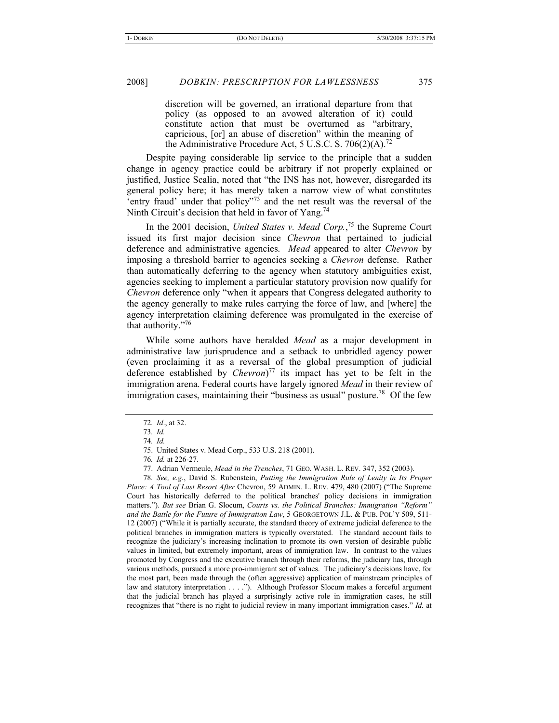discretion will be governed, an irrational departure from that policy (as opposed to an avowed alteration of it) could constitute action that must be overturned as "arbitrary, capricious, [or] an abuse of discretion" within the meaning of the Administrative Procedure Act, 5 U.S.C. S. 706(2)(A).<sup>72</sup>

Despite paying considerable lip service to the principle that a sudden change in agency practice could be arbitrary if not properly explained or justified, Justice Scalia, noted that "the INS has not, however, disregarded its general policy here; it has merely taken a narrow view of what constitutes 'entry fraud' under that policy"<sup>73</sup> and the net result was the reversal of the Ninth Circuit's decision that held in favor of Yang.<sup>74</sup>

In the 2001 decision, *United States v. Mead Corp.*, 75 the Supreme Court issued its first major decision since *Chevron* that pertained to judicial deference and administrative agencies. *Mead* appeared to alter *Chevron* by imposing a threshold barrier to agencies seeking a *Chevron* defense. Rather than automatically deferring to the agency when statutory ambiguities exist, agencies seeking to implement a particular statutory provision now qualify for *Chevron* deference only "when it appears that Congress delegated authority to the agency generally to make rules carrying the force of law, and [where] the agency interpretation claiming deference was promulgated in the exercise of that authority."76

While some authors have heralded *Mead* as a major development in administrative law jurisprudence and a setback to unbridled agency power (even proclaiming it as a reversal of the global presumption of judicial deference established by *Chevron*) 77 its impact has yet to be felt in the immigration arena. Federal courts have largely ignored *Mead* in their review of immigration cases, maintaining their "business as usual" posture.<sup>78</sup> Of the few

<sup>72</sup>*. Id*., at 32.

<sup>73</sup>*. Id.*

<sup>74</sup>*. Id.*

<sup>75.</sup> United States v. Mead Corp., 533 U.S. 218 (2001).

<sup>76</sup>*. Id.* at 226-27.

<sup>77.</sup> Adrian Vermeule, *Mead in the Trenches*, 71 GEO. WASH. L. REV. 347, 352 (2003).

<sup>78</sup>*. See, e.g.*, David S. Rubenstein, *Putting the Immigration Rule of Lenity in Its Proper Place: A Tool of Last Resort After* Chevron, 59 ADMIN. L. REV. 479, 480 (2007) ("The Supreme Court has historically deferred to the political branches' policy decisions in immigration matters."). *But see* Brian G. Slocum, *Courts vs. the Political Branches: Immigration "Reform" and the Battle for the Future of Immigration Law*, 5 GEORGETOWN J.L. & PUB. POL'Y 509, 511- 12 (2007) ("While it is partially accurate, the standard theory of extreme judicial deference to the political branches in immigration matters is typically overstated. The standard account fails to recognize the judiciary's increasing inclination to promote its own version of desirable public values in limited, but extremely important, areas of immigration law. In contrast to the values promoted by Congress and the executive branch through their reforms, the judiciary has, through various methods, pursued a more pro-immigrant set of values. The judiciary's decisions have, for the most part, been made through the (often aggressive) application of mainstream principles of law and statutory interpretation . . . ."). Although Professor Slocum makes a forceful argument that the judicial branch has played a surprisingly active role in immigration cases, he still recognizes that "there is no right to judicial review in many important immigration cases." *Id.* at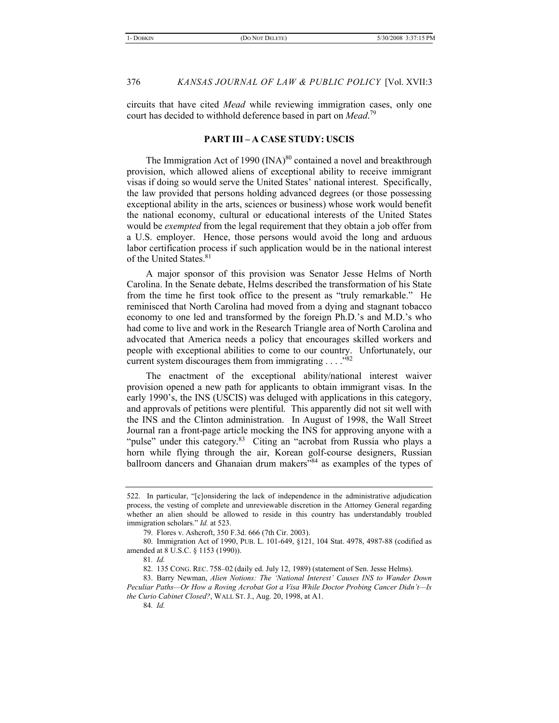circuits that have cited *Mead* while reviewing immigration cases, only one court has decided to withhold deference based in part on *Mead*. 79

#### **PART III – A CASE STUDY: USCIS**

The Immigration Act of 1990  $(INA)^{80}$  contained a novel and breakthrough provision, which allowed aliens of exceptional ability to receive immigrant visas if doing so would serve the United States' national interest. Specifically, the law provided that persons holding advanced degrees (or those possessing exceptional ability in the arts, sciences or business) whose work would benefit the national economy, cultural or educational interests of the United States would be *exempted* from the legal requirement that they obtain a job offer from a U.S. employer. Hence, those persons would avoid the long and arduous labor certification process if such application would be in the national interest of the United States.<sup>81</sup>

A major sponsor of this provision was Senator Jesse Helms of North Carolina. In the Senate debate, Helms described the transformation of his State from the time he first took office to the present as "truly remarkable." He reminisced that North Carolina had moved from a dying and stagnant tobacco economy to one led and transformed by the foreign Ph.D.'s and M.D.'s who had come to live and work in the Research Triangle area of North Carolina and advocated that America needs a policy that encourages skilled workers and people with exceptional abilities to come to our country. Unfortunately, our current system discourages them from immigrating  $\ldots$ ."<sup>82</sup>

The enactment of the exceptional ability/national interest waiver provision opened a new path for applicants to obtain immigrant visas. In the early 1990's, the INS (USCIS) was deluged with applications in this category, and approvals of petitions were plentiful. This apparently did not sit well with the INS and the Clinton administration. In August of 1998, the Wall Street Journal ran a front-page article mocking the INS for approving anyone with a "pulse" under this category.<sup>83</sup> Citing an "acrobat from Russia who plays a horn while flying through the air, Korean golf-course designers, Russian ballroom dancers and Ghanaian drum makers"<sup>84</sup> as examples of the types of

<sup>522.</sup> In particular, "[c]onsidering the lack of independence in the administrative adjudication process, the vesting of complete and unreviewable discretion in the Attorney General regarding whether an alien should be allowed to reside in this country has understandably troubled immigration scholars." *Id.* at 523.

<sup>79.</sup> Flores v. Ashcroft, 350 F.3d. 666 (7th Cir. 2003).

<sup>80.</sup> Immigration Act of 1990, PUB. L. 101-649, §121, 104 Stat. 4978, 4987-88 (codified as amended at 8 U.S.C. § 1153 (1990)).

<sup>81</sup>*. Id.*

<sup>82. 135</sup> CONG. REC. 758–02 (daily ed. July 12, 1989) (statement of Sen. Jesse Helms).

<sup>83.</sup> Barry Newman, *Alien Notions: The 'National Interest' Causes INS to Wander Down Peculiar Paths—Or How a Roving Acrobat Got a Visa While Doctor Probing Cancer Didn't—Is the Curio Cabinet Closed?*, WALL ST. J., Aug. 20, 1998, at A1.

<sup>84</sup>*. Id.*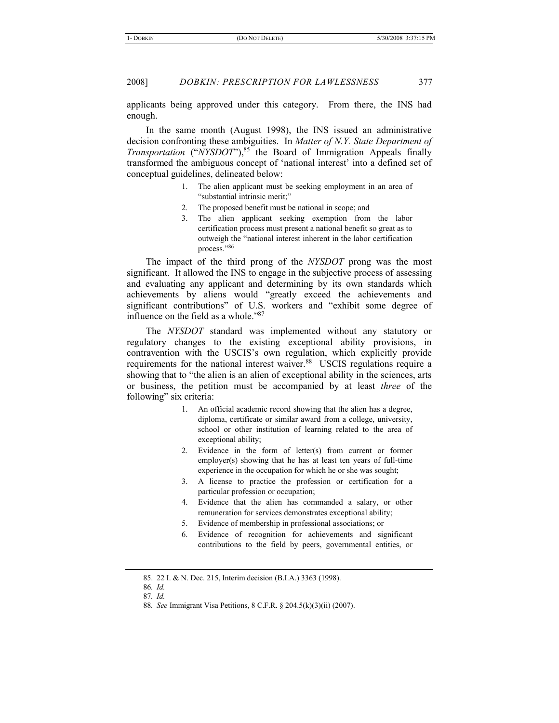applicants being approved under this category. From there, the INS had enough.

In the same month (August 1998), the INS issued an administrative decision confronting these ambiguities. In *Matter of N.Y. State Department of Transportation* ("*NYSDOT*"),<sup>85</sup> the Board of Immigration Appeals finally transformed the ambiguous concept of 'national interest' into a defined set of conceptual guidelines, delineated below:

- 1. The alien applicant must be seeking employment in an area of "substantial intrinsic merit;"
- 2. The proposed benefit must be national in scope; and
- 3. The alien applicant seeking exemption from the labor certification process must present a national benefit so great as to outweigh the "national interest inherent in the labor certification process."86

The impact of the third prong of the *NYSDOT* prong was the most significant. It allowed the INS to engage in the subjective process of assessing and evaluating any applicant and determining by its own standards which achievements by aliens would "greatly exceed the achievements and significant contributions" of U.S. workers and "exhibit some degree of influence on the field as a whole."87

The *NYSDOT* standard was implemented without any statutory or regulatory changes to the existing exceptional ability provisions, in contravention with the USCIS's own regulation, which explicitly provide requirements for the national interest waiver.<sup>88</sup> USCIS regulations require a showing that to "the alien is an alien of exceptional ability in the sciences, arts or business, the petition must be accompanied by at least *three* of the following" six criteria:

- 1. An official academic record showing that the alien has a degree, diploma, certificate or similar award from a college, university, school or other institution of learning related to the area of exceptional ability;
- 2. Evidence in the form of letter(s) from current or former employer(s) showing that he has at least ten years of full-time experience in the occupation for which he or she was sought;
- 3. A license to practice the profession or certification for a particular profession or occupation;
- 4. Evidence that the alien has commanded a salary, or other remuneration for services demonstrates exceptional ability;
- 5. Evidence of membership in professional associations; or
- 6. Evidence of recognition for achievements and significant contributions to the field by peers, governmental entities, or

<sup>85. 22</sup> I. & N. Dec. 215, Interim decision (B.I.A.) 3363 (1998).

<sup>86</sup>*. Id.*

<sup>87</sup>*. Id.*

<sup>88</sup>*. See* Immigrant Visa Petitions, 8 C.F.R. § 204.5(k)(3)(ii) (2007).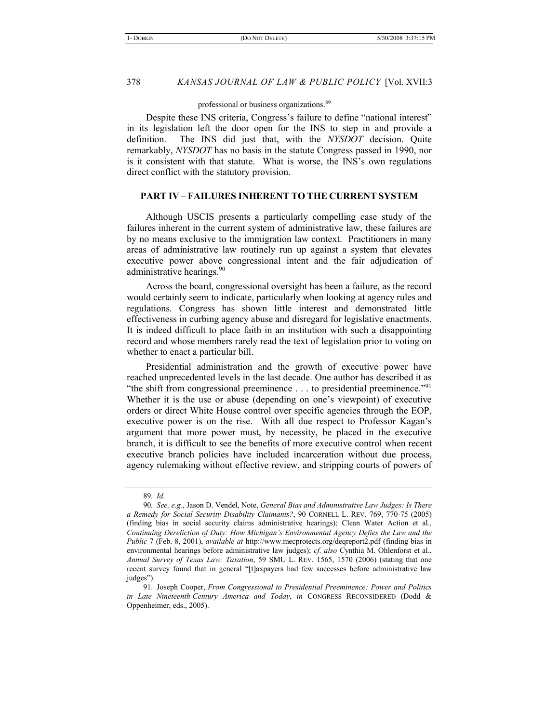professional or business organizations.89

Despite these INS criteria, Congress's failure to define "national interest" in its legislation left the door open for the INS to step in and provide a definition. The INS did just that, with the *NYSDOT* decision. Quite remarkably, *NYSDOT* has no basis in the statute Congress passed in 1990, nor is it consistent with that statute. What is worse, the INS's own regulations direct conflict with the statutory provision.

# **PART IV – FAILURES INHERENT TO THE CURRENT SYSTEM**

Although USCIS presents a particularly compelling case study of the failures inherent in the current system of administrative law, these failures are by no means exclusive to the immigration law context. Practitioners in many areas of administrative law routinely run up against a system that elevates executive power above congressional intent and the fair adjudication of administrative hearings.<sup>90</sup>

Across the board, congressional oversight has been a failure, as the record would certainly seem to indicate, particularly when looking at agency rules and regulations. Congress has shown little interest and demonstrated little effectiveness in curbing agency abuse and disregard for legislative enactments. It is indeed difficult to place faith in an institution with such a disappointing record and whose members rarely read the text of legislation prior to voting on whether to enact a particular bill.

Presidential administration and the growth of executive power have reached unprecedented levels in the last decade. One author has described it as "the shift from congressional preeminence  $\dots$  to presidential preeminence."<sup>91</sup> Whether it is the use or abuse (depending on one's viewpoint) of executive orders or direct White House control over specific agencies through the EOP, executive power is on the rise. With all due respect to Professor Kagan's argument that more power must, by necessity, be placed in the executive branch, it is difficult to see the benefits of more executive control when recent executive branch policies have included incarceration without due process, agency rulemaking without effective review, and stripping courts of powers of

<sup>89</sup>*. Id.*

<sup>90</sup>*. See, e.g.*, Jason D. Vendel, Note, *General Bias and Administrative Law Judges: Is There a Remedy for Social Security Disability Claimants?*, 90 CORNELL L. REV. 769, 770-75 (2005) (finding bias in social security claims administrative hearings); Clean Water Action et al., *Continuing Dereliction of Duty: How Michigan's Environmental Agency Defies the Law and the Public* 7 (Feb. 8, 2001), *available at* http://www.mecprotects.org/deqreport2.pdf (finding bias in environmental hearings before administrative law judges); *cf. also* Cynthia M. Ohlenforst et al., *Annual Survey of Texas Law: Taxation*, 59 SMU L. REV. 1565, 1570 (2006) (stating that one recent survey found that in general "[t]axpayers had few successes before administrative law judges").

<sup>91.</sup> Joseph Cooper, *From Congressional to Presidential Preeminence: Power and Politics in Late Nineteenth-Century America and Today*, *in* CONGRESS RECONSIDERED (Dodd & Oppenheimer, eds., 2005).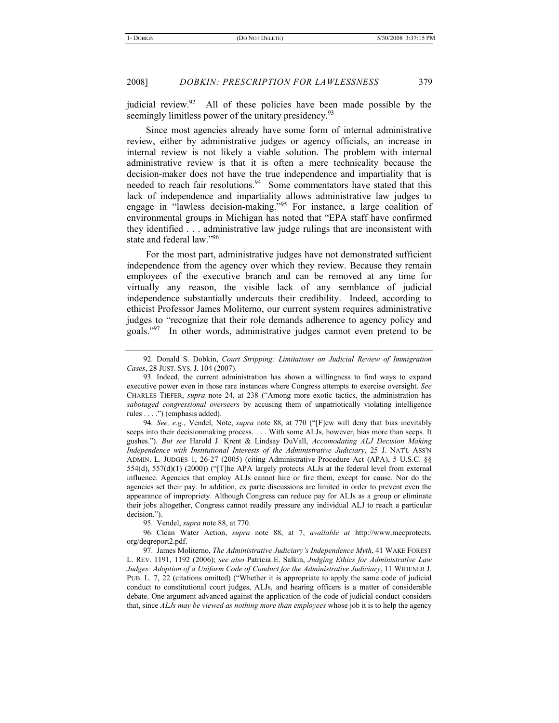judicial review.<sup>92</sup> All of these policies have been made possible by the seemingly limitless power of the unitary presidency.<sup>93</sup>

Since most agencies already have some form of internal administrative review, either by administrative judges or agency officials, an increase in internal review is not likely a viable solution. The problem with internal administrative review is that it is often a mere technicality because the decision-maker does not have the true independence and impartiality that is needed to reach fair resolutions.<sup>94</sup> Some commentators have stated that this lack of independence and impartiality allows administrative law judges to engage in "lawless decision-making."95 For instance, a large coalition of environmental groups in Michigan has noted that "EPA staff have confirmed they identified . . . administrative law judge rulings that are inconsistent with state and federal law."96

For the most part, administrative judges have not demonstrated sufficient independence from the agency over which they review. Because they remain employees of the executive branch and can be removed at any time for virtually any reason, the visible lack of any semblance of judicial independence substantially undercuts their credibility. Indeed, according to ethicist Professor James Moliterno, our current system requires administrative judges to "recognize that their role demands adherence to agency policy and goals."97 In other words, administrative judges cannot even pretend to be

95. Vendel, *supra* note 88, at 770.

96. Clean Water Action, *supra* note 88, at 7, *available at* http://www.mecprotects. org/deqreport2.pdf.

97. James Moliterno, *The Administrative Judiciary's Independence Myth*, 41 WAKE FOREST L. REV. 1191, 1192 (2006); *see also* Patricia E. Salkin, *Judging Ethics for Administrative Law Judges: Adoption of a Uniform Code of Conduct for the Administrative Judiciary*, 11 WIDENER J. PUB. L. 7, 22 (citations omitted) ("Whether it is appropriate to apply the same code of judicial conduct to constitutional court judges, ALJs, and hearing officers is a matter of considerable debate. One argument advanced against the application of the code of judicial conduct considers that, since *ALJs may be viewed as nothing more than employees* whose job it is to help the agency

<sup>92.</sup> Donald S. Dobkin, *Court Stripping: Limitations on Judicial Review of Immigration Cases*, 28 JUST. SYS. J. 104 (2007).

<sup>93.</sup> Indeed, the current administration has shown a willingness to find ways to expand executive power even in those rare instances where Congress attempts to exercise oversight. *See* CHARLES TIEFER, *supra* note 24, at 238 ("Among more exotic tactics, the administration has *sabotaged congressional overseers* by accusing them of unpatriotically violating intelligence rules . . . .") (emphasis added).

<sup>94</sup>*. See, e.g.*, Vendel, Note, *supra* note 88, at 770 ("[F]ew will deny that bias inevitably seeps into their decisionmaking process. . . . With some ALJs, however, bias more than seeps. It gushes."). *But see* Harold J. Krent & Lindsay DuVall, *Accomodating ALJ Decision Making Independence with Institutional Interests of the Administrative Judiciary*, 25 J. NAT'L ASS'N ADMIN. L. JUDGES 1, 26-27 (2005) (citing Administrative Procedure Act (APA), 5 U.S.C. §§ 554(d), 557(d)(1) (2000)) ("[T]he APA largely protects ALJs at the federal level from external influence. Agencies that employ ALJs cannot hire or fire them, except for cause. Nor do the agencies set their pay. In addition, ex parte discussions are limited in order to prevent even the appearance of impropriety. Although Congress can reduce pay for ALJs as a group or eliminate their jobs altogether, Congress cannot readily pressure any individual ALJ to reach a particular decision.").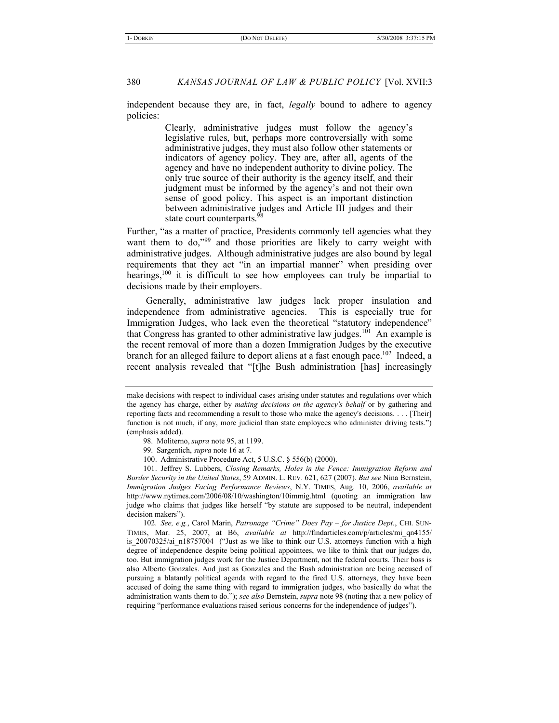independent because they are, in fact, *legally* bound to adhere to agency policies:

> Clearly, administrative judges must follow the agency's legislative rules, but, perhaps more controversially with some administrative judges, they must also follow other statements or indicators of agency policy. They are, after all, agents of the agency and have no independent authority to divine policy. The only true source of their authority is the agency itself, and their judgment must be informed by the agency's and not their own sense of good policy. This aspect is an important distinction between administrative judges and Article III judges and their state court counterparts.<sup>98</sup>

Further, "as a matter of practice, Presidents commonly tell agencies what they want them to do,"<sup>99</sup> and those priorities are likely to carry weight with administrative judges. Although administrative judges are also bound by legal requirements that they act "in an impartial manner" when presiding over hearings,<sup>100</sup> it is difficult to see how employees can truly be impartial to decisions made by their employers.

Generally, administrative law judges lack proper insulation and independence from administrative agencies. This is especially true for Immigration Judges, who lack even the theoretical "statutory independence" that Congress has granted to other administrative law judges.<sup>101</sup> An example is the recent removal of more than a dozen Immigration Judges by the executive branch for an alleged failure to deport aliens at a fast enough pace.<sup>102</sup> Indeed, a recent analysis revealed that "[t]he Bush administration [has] increasingly

101. Jeffrey S. Lubbers, *Closing Remarks, Holes in the Fence: Immigration Reform and Border Security in the United States*, 59 ADMIN. L. REV. 621, 627 (2007). *But see* Nina Bernstein, *Immigration Judges Facing Performance Reviews*, N.Y. TIMES, Aug. 10, 2006, *available at* http://www.nytimes.com/2006/08/10/washington/10immig.html (quoting an immigration law judge who claims that judges like herself "by statute are supposed to be neutral, independent decision makers").

102*. See, e.g.*, Carol Marin, *Patronage "Crime" Does Pay* – *for Justice Dept.*, CHI. SUN-TIMES, Mar. 25, 2007, at B6, *available at* http://findarticles.com/p/articles/mi\_qn4155/ is 20070325/ai\_n18757004 ("Just as we like to think our U.S. attorneys function with a high degree of independence despite being political appointees, we like to think that our judges do, too. But immigration judges work for the Justice Department, not the federal courts. Their boss is also Alberto Gonzales. And just as Gonzales and the Bush administration are being accused of pursuing a blatantly political agenda with regard to the fired U.S. attorneys, they have been accused of doing the same thing with regard to immigration judges, who basically do what the administration wants them to do."); *see also* Bernstein, *supra* note 98 (noting that a new policy of requiring "performance evaluations raised serious concerns for the independence of judges").

make decisions with respect to individual cases arising under statutes and regulations over which the agency has charge, either by *making decisions on the agency's behalf* or by gathering and reporting facts and recommending a result to those who make the agency's decisions. . . . [Their] function is not much, if any, more judicial than state employees who administer driving tests.") (emphasis added).

<sup>98.</sup> Moliterno, *supra* note 95, at 1199.

<sup>99.</sup> Sargentich, *supra* note 16 at 7.

<sup>100.</sup> Administrative Procedure Act, 5 U.S.C. § 556(b) (2000).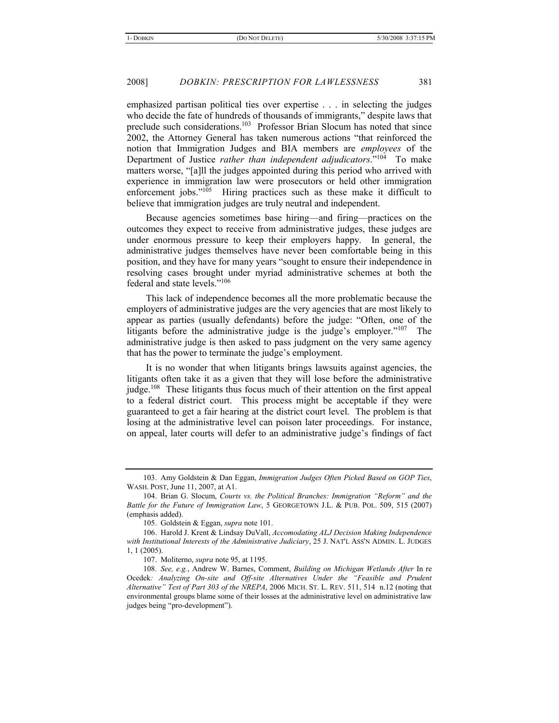emphasized partisan political ties over expertise . . . in selecting the judges who decide the fate of hundreds of thousands of immigrants," despite laws that preclude such considerations.103 Professor Brian Slocum has noted that since 2002, the Attorney General has taken numerous actions "that reinforced the notion that Immigration Judges and BIA members are *employees* of the Department of Justice *rather than independent adjudicators*."104 To make matters worse, "[a]ll the judges appointed during this period who arrived with experience in immigration law were prosecutors or held other immigration enforcement jobs."<sup>105</sup> Hiring practices such as these make it difficult to believe that immigration judges are truly neutral and independent.

Because agencies sometimes base hiring—and firing—practices on the outcomes they expect to receive from administrative judges, these judges are under enormous pressure to keep their employers happy. In general, the administrative judges themselves have never been comfortable being in this position, and they have for many years "sought to ensure their independence in resolving cases brought under myriad administrative schemes at both the federal and state levels."106

This lack of independence becomes all the more problematic because the employers of administrative judges are the very agencies that are most likely to appear as parties (usually defendants) before the judge: "Often, one of the litigants before the administrative judge is the judge's employer."<sup>107</sup> The administrative judge is then asked to pass judgment on the very same agency that has the power to terminate the judge's employment.

It is no wonder that when litigants brings lawsuits against agencies, the litigants often take it as a given that they will lose before the administrative judge.<sup>108</sup> These litigants thus focus much of their attention on the first appeal to a federal district court. This process might be acceptable if they were guaranteed to get a fair hearing at the district court level. The problem is that losing at the administrative level can poison later proceedings. For instance, on appeal, later courts will defer to an administrative judge's findings of fact

<sup>103.</sup> Amy Goldstein & Dan Eggan, *Immigration Judges Often Picked Based on GOP Ties*, WASH. POST, June 11, 2007, at A1.

<sup>104.</sup> Brian G. Slocum, *Courts vs. the Political Branches: Immigration "Reform" and the Battle for the Future of Immigration Law*, 5 GEORGETOWN J.L. & PUB. POL. 509, 515 (2007) (emphasis added).

<sup>105.</sup> Goldstein & Eggan, *supra* note 101.

<sup>106.</sup> Harold J. Krent & Lindsay DuVall, *Accomodating ALJ Decision Making Independence with Institutional Interests of the Administrative Judiciary*, 25 J. NAT'L ASS'N ADMIN. L. JUDGES 1, 1 (2005).

<sup>107.</sup> Moliterno, *supra* note 95, at 1195.

<sup>108</sup>*. See, e.g.*, Andrew W. Barnes, Comment, *Building on Michigan Wetlands After* In re Ocedek*: Analyzing On-site and Off-site Alternatives Under the "Feasible and Prudent Alternative" Test of Part 303 of the NREPA*, 2006 MICH. ST. L. REV. 511, 514 n.12 (noting that environmental groups blame some of their losses at the administrative level on administrative law judges being "pro-development").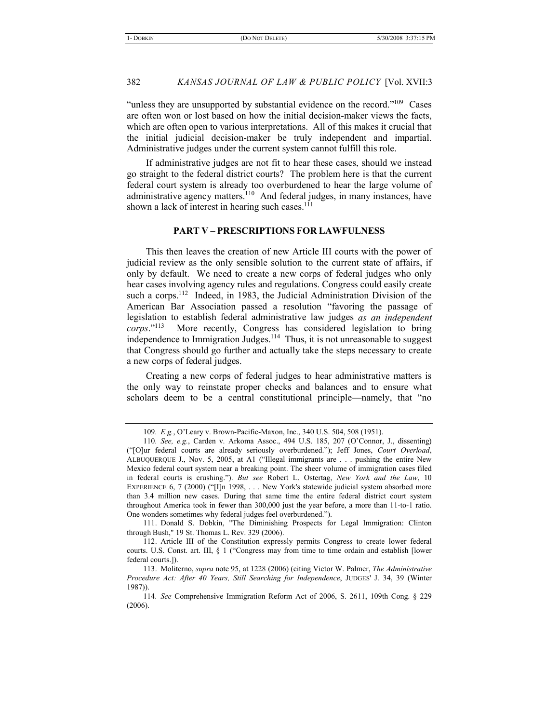"unless they are unsupported by substantial evidence on the record."<sup>109</sup> Cases are often won or lost based on how the initial decision-maker views the facts, which are often open to various interpretations. All of this makes it crucial that the initial judicial decision-maker be truly independent and impartial. Administrative judges under the current system cannot fulfill this role.

If administrative judges are not fit to hear these cases, should we instead go straight to the federal district courts? The problem here is that the current federal court system is already too overburdened to hear the large volume of administrative agency matters.<sup>110</sup> And federal judges, in many instances, have shown a lack of interest in hearing such cases.<sup>111</sup>

# **PART V – PRESCRIPTIONS FOR LAWFULNESS**

This then leaves the creation of new Article III courts with the power of judicial review as the only sensible solution to the current state of affairs, if only by default. We need to create a new corps of federal judges who only hear cases involving agency rules and regulations. Congress could easily create such a corps.<sup>112</sup> Indeed, in 1983, the Judicial Administration Division of the American Bar Association passed a resolution "favoring the passage of legislation to establish federal administrative law judges *as an independent corps*."113 More recently, Congress has considered legislation to bring independence to Immigration Judges.<sup>114</sup> Thus, it is not unreasonable to suggest that Congress should go further and actually take the steps necessary to create a new corps of federal judges.

Creating a new corps of federal judges to hear administrative matters is the only way to reinstate proper checks and balances and to ensure what scholars deem to be a central constitutional principle—namely, that "no

111. Donald S. Dobkin, "The Diminishing Prospects for Legal Immigration: Clinton through Bush," 19 St. Thomas L. Rev. 329 (2006).

<sup>109</sup>*. E.g.*, O'Leary v. Brown-Pacific-Maxon, Inc., 340 U.S. 504, 508 (1951).

<sup>110</sup>*. See, e.g.*, Carden v. Arkoma Assoc., 494 U.S. 185, 207 (O'Connor, J., dissenting) ("[O]ur federal courts are already seriously overburdened."); Jeff Jones, *Court Overload*, ALBUQUERQUE J., Nov. 5, 2005, at A1 ("Illegal immigrants are . . . pushing the entire New Mexico federal court system near a breaking point. The sheer volume of immigration cases filed in federal courts is crushing."). *But see* Robert L. Ostertag, *New York and the Law*, 10 EXPERIENCE 6, 7 (2000) ("[I]n 1998, . . . New York's statewide judicial system absorbed more than 3.4 million new cases. During that same time the entire federal district court system throughout America took in fewer than 300,000 just the year before, a more than 11-to-1 ratio. One wonders sometimes why federal judges feel overburdened.").

<sup>112.</sup> Article III of the Constitution expressly permits Congress to create lower federal courts. U.S. Const. art. III, § 1 ("Congress may from time to time ordain and establish [lower federal courts.]).

<sup>113.</sup> Moliterno, *supra* note 95, at 1228 (2006) (citing Victor W. Palmer, *The Administrative Procedure Act: After 40 Years, Still Searching for Independence*, JUDGES' J. 34, 39 (Winter 1987)).

<sup>114</sup>*. See* Comprehensive Immigration Reform Act of 2006, S. 2611, 109th Cong. § 229 (2006).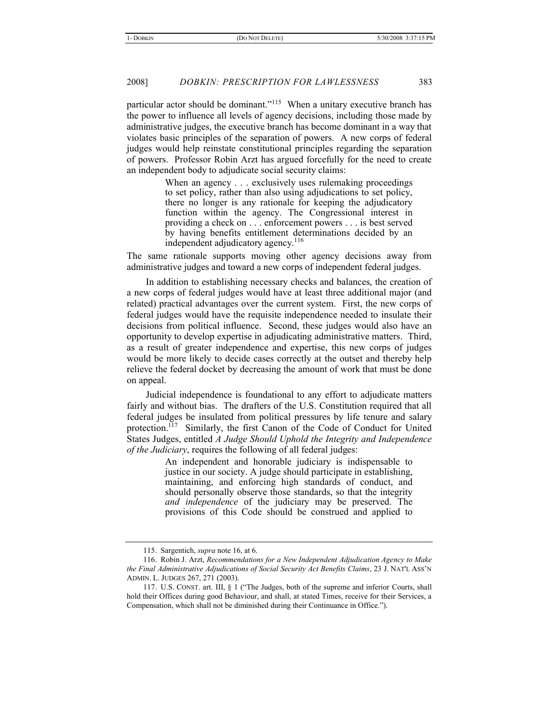particular actor should be dominant."115 When a unitary executive branch has the power to influence all levels of agency decisions, including those made by administrative judges, the executive branch has become dominant in a way that violates basic principles of the separation of powers. A new corps of federal judges would help reinstate constitutional principles regarding the separation of powers. Professor Robin Arzt has argued forcefully for the need to create an independent body to adjudicate social security claims:

> When an agency . . . exclusively uses rulemaking proceedings to set policy, rather than also using adjudications to set policy, there no longer is any rationale for keeping the adjudicatory function within the agency. The Congressional interest in providing a check on . . . enforcement powers . . . is best served by having benefits entitlement determinations decided by an independent adjudicatory agency.<sup>116</sup>

The same rationale supports moving other agency decisions away from administrative judges and toward a new corps of independent federal judges.

In addition to establishing necessary checks and balances, the creation of a new corps of federal judges would have at least three additional major (and related) practical advantages over the current system. First, the new corps of federal judges would have the requisite independence needed to insulate their decisions from political influence. Second, these judges would also have an opportunity to develop expertise in adjudicating administrative matters. Third, as a result of greater independence and expertise, this new corps of judges would be more likely to decide cases correctly at the outset and thereby help relieve the federal docket by decreasing the amount of work that must be done on appeal.

Judicial independence is foundational to any effort to adjudicate matters fairly and without bias. The drafters of the U.S. Constitution required that all federal judges be insulated from political pressures by life tenure and salary protection.<sup>117</sup> Similarly, the first Canon of the Code of Conduct for United States Judges, entitled *A Judge Should Uphold the Integrity and Independence of the Judiciary*, requires the following of all federal judges:

> An independent and honorable judiciary is indispensable to justice in our society. A judge should participate in establishing, maintaining, and enforcing high standards of conduct, and should personally observe those standards, so that the integrity *and independence* of the judiciary may be preserved. The provisions of this Code should be construed and applied to

<sup>115.</sup> Sargentich, *supra* note 16, at 6.

<sup>116.</sup> Robin J. Arzt, *Recommendations for a New Independent Adjudication Agency to Make the Final Administrative Adjudications of Social Security Act Benefits Claims*, 23 J. NAT'L ASS'N ADMIN. L. JUDGES 267, 271 (2003).

<sup>117.</sup> U.S. CONST. art. III, § 1 ("The Judges, both of the supreme and inferior Courts, shall hold their Offices during good Behaviour, and shall, at stated Times, receive for their Services, a Compensation, which shall not be diminished during their Continuance in Office.").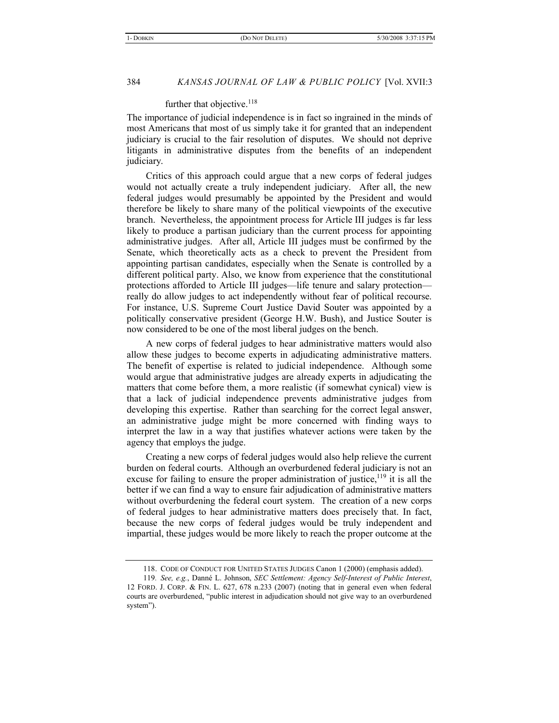# further that objective.<sup>118</sup>

The importance of judicial independence is in fact so ingrained in the minds of most Americans that most of us simply take it for granted that an independent judiciary is crucial to the fair resolution of disputes. We should not deprive litigants in administrative disputes from the benefits of an independent judiciary.

Critics of this approach could argue that a new corps of federal judges would not actually create a truly independent judiciary. After all, the new federal judges would presumably be appointed by the President and would therefore be likely to share many of the political viewpoints of the executive branch. Nevertheless, the appointment process for Article III judges is far less likely to produce a partisan judiciary than the current process for appointing administrative judges. After all, Article III judges must be confirmed by the Senate, which theoretically acts as a check to prevent the President from appointing partisan candidates, especially when the Senate is controlled by a different political party. Also, we know from experience that the constitutional protections afforded to Article III judges—life tenure and salary protection really do allow judges to act independently without fear of political recourse. For instance, U.S. Supreme Court Justice David Souter was appointed by a politically conservative president (George H.W. Bush), and Justice Souter is now considered to be one of the most liberal judges on the bench.

A new corps of federal judges to hear administrative matters would also allow these judges to become experts in adjudicating administrative matters. The benefit of expertise is related to judicial independence. Although some would argue that administrative judges are already experts in adjudicating the matters that come before them, a more realistic (if somewhat cynical) view is that a lack of judicial independence prevents administrative judges from developing this expertise. Rather than searching for the correct legal answer, an administrative judge might be more concerned with finding ways to interpret the law in a way that justifies whatever actions were taken by the agency that employs the judge.

Creating a new corps of federal judges would also help relieve the current burden on federal courts. Although an overburdened federal judiciary is not an excuse for failing to ensure the proper administration of justice,  $^{119}$  it is all the better if we can find a way to ensure fair adjudication of administrative matters without overburdening the federal court system. The creation of a new corps of federal judges to hear administrative matters does precisely that. In fact, because the new corps of federal judges would be truly independent and impartial, these judges would be more likely to reach the proper outcome at the

<sup>118.</sup> CODE OF CONDUCT FOR UNITED STATES JUDGES Canon 1 (2000) (emphasis added).

<sup>119</sup>*. See, e.g.*, Danné L. Johnson, *SEC Settlement: Agency Self-Interest of Public Interest*, 12 FORD. J. CORP. & FIN. L. 627, 678 n.233 (2007) (noting that in general even when federal courts are overburdened, "public interest in adjudication should not give way to an overburdened system").